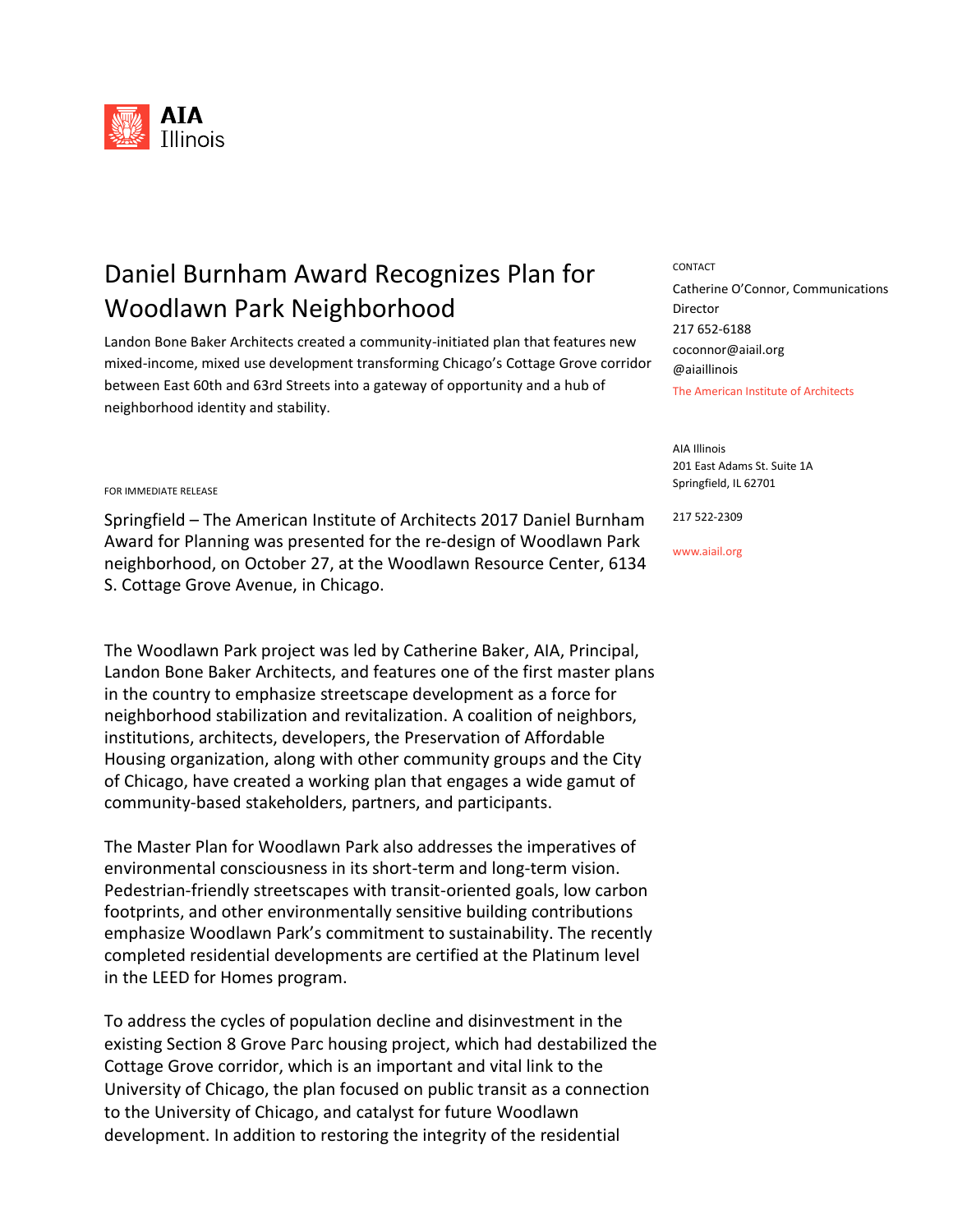

## Daniel Burnham Award Recognizes Plan for **CONTACT** Woodlawn Park Neighborhood

Landon Bone Baker Architects created a community-initiated plan that features new mixed-income, mixed use development transforming Chicago's Cottage Grove corridor between East 60th and 63rd Streets into a gateway of opportunity and a hub of neighborhood identity and stability.

The American Institute of Architects Catherine O'Connor, Communications Director 217 652-6188 coconnor@aiail.org @aiaillinois

AIA Illinois 201 East Adams St. Suite 1A Springfield, IL 62701

217 522-2309

www.aiail.org

## FOR IMMEDIATE RELEASE

Springfield – The American Institute of Architects 2017 Daniel Burnham Award for Planning was presented for the re-design of Woodlawn Park neighborhood, on October 27, at the Woodlawn Resource Center, 6134 S. Cottage Grove Avenue, in Chicago.

The Woodlawn Park project was led by Catherine Baker, AIA, Principal, Landon Bone Baker Architects, and features one of the first master plans in the country to emphasize streetscape development as a force for neighborhood stabilization and revitalization. A coalition of neighbors, institutions, architects, developers, the Preservation of Affordable Housing organization, along with other community groups and the City of Chicago, have created a working plan that engages a wide gamut of community-based stakeholders, partners, and participants.

The Master Plan for Woodlawn Park also addresses the imperatives of environmental consciousness in its short-term and long-term vision. Pedestrian-friendly streetscapes with transit-oriented goals, low carbon footprints, and other environmentally sensitive building contributions emphasize Woodlawn Park's commitment to sustainability. The recently completed residential developments are certified at the Platinum level in the LEED for Homes program.

To address the cycles of population decline and disinvestment in the existing Section 8 Grove Parc housing project, which had destabilized the Cottage Grove corridor, which is an important and vital link to the University of Chicago, the plan focused on public transit as a connection to the University of Chicago, and catalyst for future Woodlawn development. In addition to restoring the integrity of the residential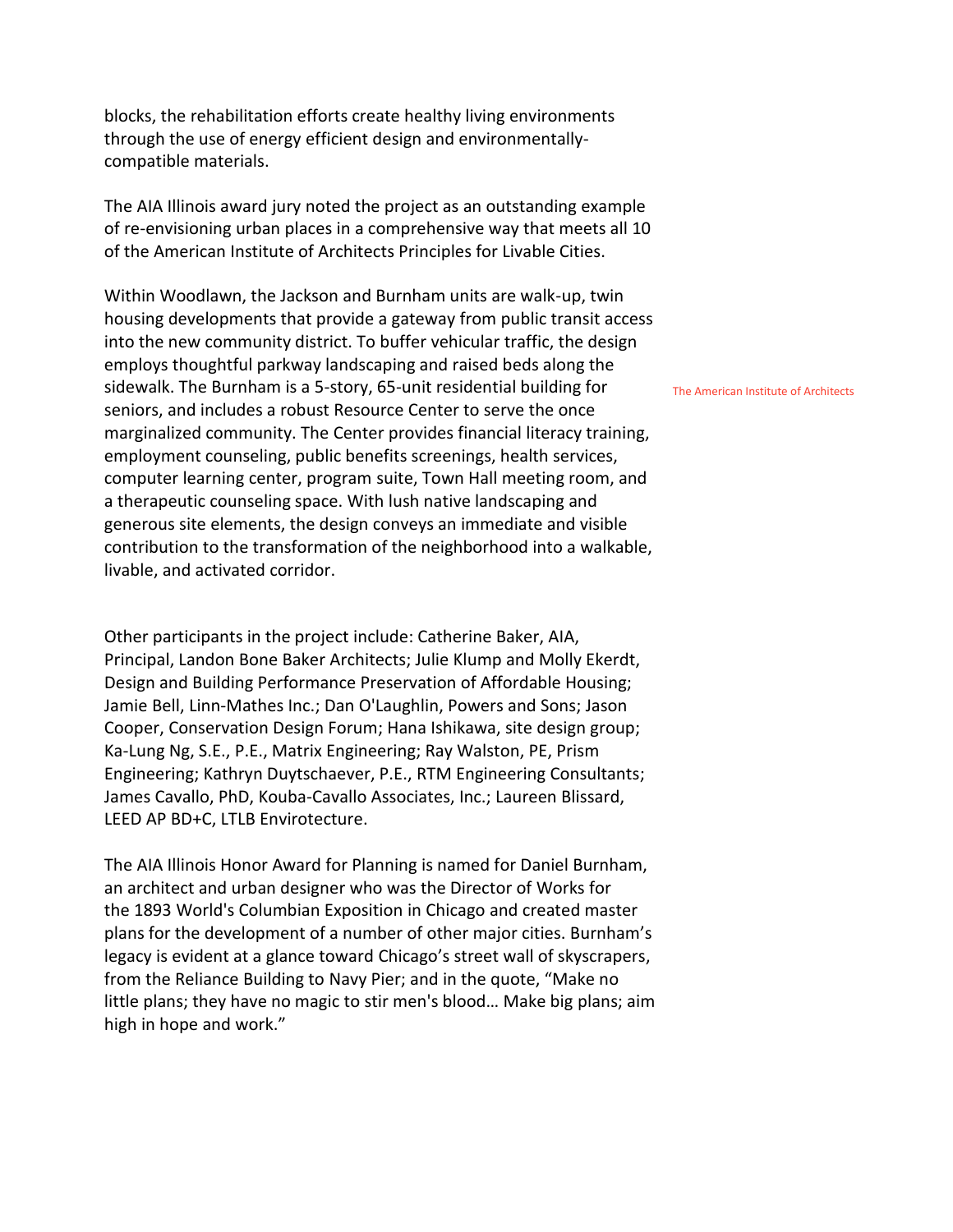blocks, the rehabilitation efforts create healthy living environments through the use of energy efficient design and environmentallycompatible materials.

The AIA Illinois award jury noted the project as an outstanding example of re-envisioning urban places in a comprehensive way that meets all 10 of the American Institute of Architects Principles for Livable Cities.

Within Woodlawn, the Jackson and Burnham units are walk-up, twin housing developments that provide a gateway from public transit access into the new community district. To buffer vehicular traffic, the design employs thoughtful parkway landscaping and raised beds along the sidewalk. The Burnham is a 5-story, 65-unit residential building for seniors, and includes a robust Resource Center to serve the once marginalized community. The Center provides financial literacy training, employment counseling, public benefits screenings, health services, computer learning center, program suite, Town Hall meeting room, and a therapeutic counseling space. With lush native landscaping and generous site elements, the design conveys an immediate and visible contribution to the transformation of the neighborhood into a walkable, livable, and activated corridor.

Other participants in the project include: Catherine Baker, AIA, Principal, Landon Bone Baker Architects; Julie Klump and Molly Ekerdt, Design and Building Performance Preservation of Affordable Housing; Jamie Bell, Linn-Mathes Inc.; Dan O'Laughlin, Powers and Sons; Jason Cooper, Conservation Design Forum; Hana Ishikawa, site design group; Ka-Lung Ng, S.E., P.E., Matrix Engineering; Ray Walston, PE, Prism Engineering; Kathryn Duytschaever, P.E., RTM Engineering Consultants; James Cavallo, PhD, Kouba-Cavallo Associates, Inc.; Laureen Blissard, LEED AP BD+C, LTLB Envirotecture.

The AIA Illinois Honor Award for Planning is named for Daniel Burnham, an architect and urban designer who was the Director of Works for the 1893 [World's Columbian Exposition](https://en.wikipedia.org/wiki/World%27s_Columbian_Exposition) in [Chicago](https://en.wikipedia.org/wiki/Chicago) and created master plans for the development of a number of other major cities. Burnham's legacy is evident at a glance toward Chicago's street wall of skyscrapers, from the Reliance Building to Navy Pier; and in the quote, "Make no little plans; they have no magic to stir men's blood… Make big plans; aim high in hope and work."

The American Institute of Architects